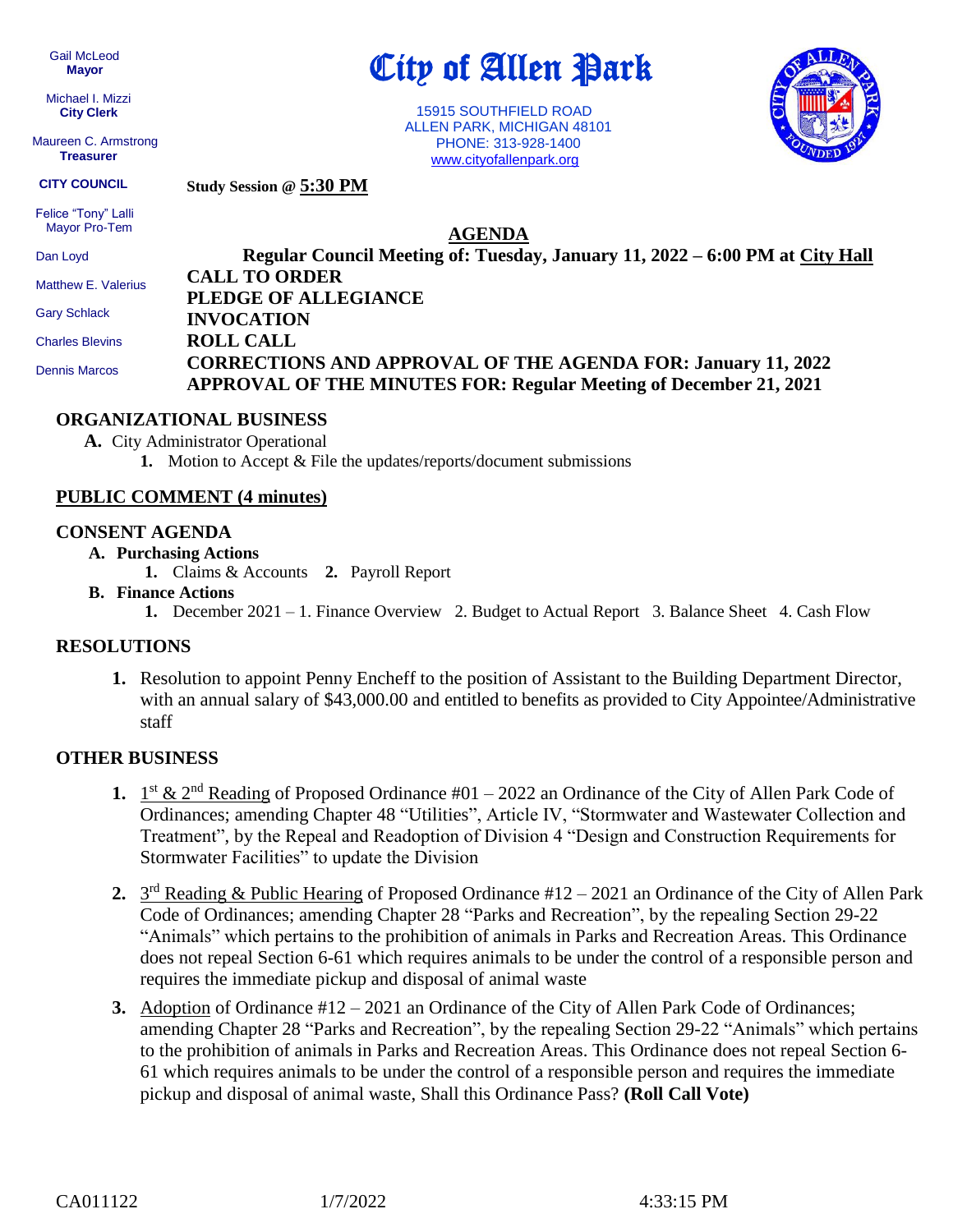Gail McLeod  **Mayor**

 Michael I. Mizzi **City Clerk**

 Maureen C. Armstrong **Treasurer**

City of Allen Park

 15915 SOUTHFIELD ROAD ALLEN PARK, MICHIGAN 48101 PHONE: 313-928-1400 [www.cityofallenpark.org](http://www.cityofallenpark.org/)



**Study Session @ 5:30 PM CITY COUNCIL**

 Felice "Tony" Lalli Mayor Pro-Tem

**AGENDA**

| Dan Loyd               | Regular Council Meeting of: Tuesday, January 11, 2022 – 6:00 PM at City Hall |
|------------------------|------------------------------------------------------------------------------|
| Matthew E. Valerius    | <b>CALL TO ORDER</b>                                                         |
|                        | PLEDGE OF ALLEGIANCE                                                         |
| <b>Gary Schlack</b>    | <b>INVOCATION</b>                                                            |
| <b>Charles Blevins</b> | <b>ROLL CALL</b>                                                             |
| <b>Dennis Marcos</b>   | <b>CORRECTIONS AND APPROVAL OF THE AGENDA FOR: January 11, 2022</b>          |
|                        | <b>APPROVAL OF THE MINUTES FOR: Regular Meeting of December 21, 2021</b>     |

## **ORGANIZATIONAL BUSINESS**

**A.** City Administrator Operational

**1.** Motion to Accept & File the updates/reports/document submissions

# **PUBLIC COMMENT (4 minutes)**

### **CONSENT AGENDA**

- **A. Purchasing Actions**
	- **1.** Claims & Accounts **2.** Payroll Report

### **B. Finance Actions**

**1.** December 2021 – 1. Finance Overview 2. Budget to Actual Report 3. Balance Sheet 4. Cash Flow

### **RESOLUTIONS**

**1.** Resolution to appoint Penny Encheff to the position of Assistant to the Building Department Director, with an annual salary of \$43,000.00 and entitled to benefits as provided to City Appointee/Administrative staff

# **OTHER BUSINESS**

- 1.  $1^{st}$  &  $2^{nd}$  Reading of Proposed Ordinance #01 2022 an Ordinance of the City of Allen Park Code of Ordinances; amending Chapter 48 "Utilities", Article IV, "Stormwater and Wastewater Collection and Treatment", by the Repeal and Readoption of Division 4 "Design and Construction Requirements for Stormwater Facilities" to update the Division
- 2. 3<sup>rd</sup> Reading & Public Hearing of Proposed Ordinance #12 2021 an Ordinance of the City of Allen Park Code of Ordinances; amending Chapter 28 "Parks and Recreation", by the repealing Section 29-22 "Animals" which pertains to the prohibition of animals in Parks and Recreation Areas. This Ordinance does not repeal Section 6-61 which requires animals to be under the control of a responsible person and requires the immediate pickup and disposal of animal waste
- **3.** Adoption of Ordinance #12 2021 an Ordinance of the City of Allen Park Code of Ordinances; amending Chapter 28 "Parks and Recreation", by the repealing Section 29-22 "Animals" which pertains to the prohibition of animals in Parks and Recreation Areas. This Ordinance does not repeal Section 6- 61 which requires animals to be under the control of a responsible person and requires the immediate pickup and disposal of animal waste, Shall this Ordinance Pass? **(Roll Call Vote)**